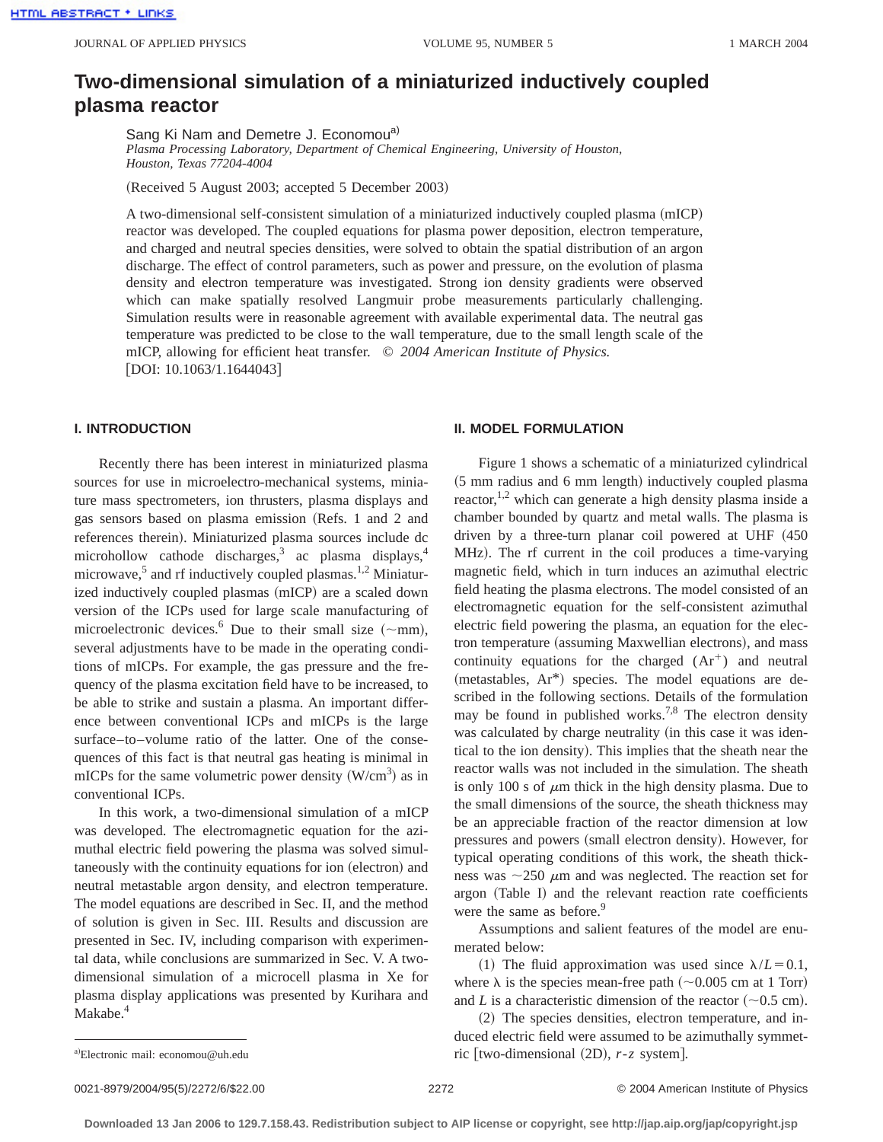# **Two-dimensional simulation of a miniaturized inductively coupled plasma reactor**

Sang Ki Nam and Demetre J. Economou<sup>a)</sup>

*Plasma Processing Laboratory, Department of Chemical Engineering, University of Houston, Houston, Texas 77204-4004*

(Received 5 August 2003; accepted 5 December 2003)

A two-dimensional self-consistent simulation of a miniaturized inductively coupled plasma (mICP) reactor was developed. The coupled equations for plasma power deposition, electron temperature, and charged and neutral species densities, were solved to obtain the spatial distribution of an argon discharge. The effect of control parameters, such as power and pressure, on the evolution of plasma density and electron temperature was investigated. Strong ion density gradients were observed which can make spatially resolved Langmuir probe measurements particularly challenging. Simulation results were in reasonable agreement with available experimental data. The neutral gas temperature was predicted to be close to the wall temperature, due to the small length scale of the mICP, allowing for efficient heat transfer. © *2004 American Institute of Physics.*  $[$ DOI: 10.1063/1.1644043 $]$ 

# **I. INTRODUCTION**

Recently there has been interest in miniaturized plasma sources for use in microelectro-mechanical systems, miniature mass spectrometers, ion thrusters, plasma displays and gas sensors based on plasma emission (Refs. 1 and 2 and references therein). Miniaturized plasma sources include dc microhollow cathode discharges,<sup>3</sup> ac plasma displays,<sup>4</sup> microwave,<sup>5</sup> and rf inductively coupled plasmas.<sup>1,2</sup> Miniaturized inductively coupled plasmas (mICP) are a scaled down version of the ICPs used for large scale manufacturing of microelectronic devices.<sup>6</sup> Due to their small size  $(\sim$ mm), several adjustments have to be made in the operating conditions of mICPs. For example, the gas pressure and the frequency of the plasma excitation field have to be increased, to be able to strike and sustain a plasma. An important difference between conventional ICPs and mICPs is the large surface–to–volume ratio of the latter. One of the consequences of this fact is that neutral gas heating is minimal in mICPs for the same volumetric power density  $(W/cm<sup>3</sup>)$  as in conventional ICPs.

In this work, a two-dimensional simulation of a mICP was developed. The electromagnetic equation for the azimuthal electric field powering the plasma was solved simultaneously with the continuity equations for ion (electron) and neutral metastable argon density, and electron temperature. The model equations are described in Sec. II, and the method of solution is given in Sec. III. Results and discussion are presented in Sec. IV, including comparison with experimental data, while conclusions are summarized in Sec. V. A twodimensional simulation of a microcell plasma in Xe for plasma display applications was presented by Kurihara and Makabe.<sup>4</sup>

# **II. MODEL FORMULATION**

Figure 1 shows a schematic of a miniaturized cylindrical  $(5 \text{ mm}$  radius and 6 mm length) inductively coupled plasma reactor,<sup>1,2</sup> which can generate a high density plasma inside a chamber bounded by quartz and metal walls. The plasma is driven by a three-turn planar coil powered at UHF  $(450$ MHz). The rf current in the coil produces a time-varying magnetic field, which in turn induces an azimuthal electric field heating the plasma electrons. The model consisted of an electromagnetic equation for the self-consistent azimuthal electric field powering the plasma, an equation for the electron temperature (assuming Maxwellian electrons), and mass continuity equations for the charged  $(Ar^+)$  and neutral  $(metastables, Ar^*)$  species. The model equations are described in the following sections. Details of the formulation may be found in published works.<sup>7,8</sup> The electron density was calculated by charge neutrality (in this case it was identical to the ion density). This implies that the sheath near the reactor walls was not included in the simulation. The sheath is only 100 s of  $\mu$ m thick in the high density plasma. Due to the small dimensions of the source, the sheath thickness may be an appreciable fraction of the reactor dimension at low pressures and powers (small electron density). However, for typical operating conditions of this work, the sheath thickness was  $\sim$ 250  $\mu$ m and was neglected. The reaction set for argon (Table I) and the relevant reaction rate coefficients were the same as before.<sup>9</sup>

Assumptions and salient features of the model are enumerated below:

(1) The fluid approximation was used since  $\lambda/L = 0.1$ , where  $\lambda$  is the species mean-free path ( $\sim$ 0.005 cm at 1 Torr) and *L* is a characteristic dimension of the reactor  $(\sim 0.5 \text{ cm})$ .

 $(2)$  The species densities, electron temperature, and induced electric field were assumed to be azimuthally symmetric [two-dimensional  $(2D)$ ,  $r$ - $z$  system].

0021-8979/2004/95(5)/2272/6/\$22.00 © 2004 American Institute of Physics 2272

Electronic mail: economou@uh.edu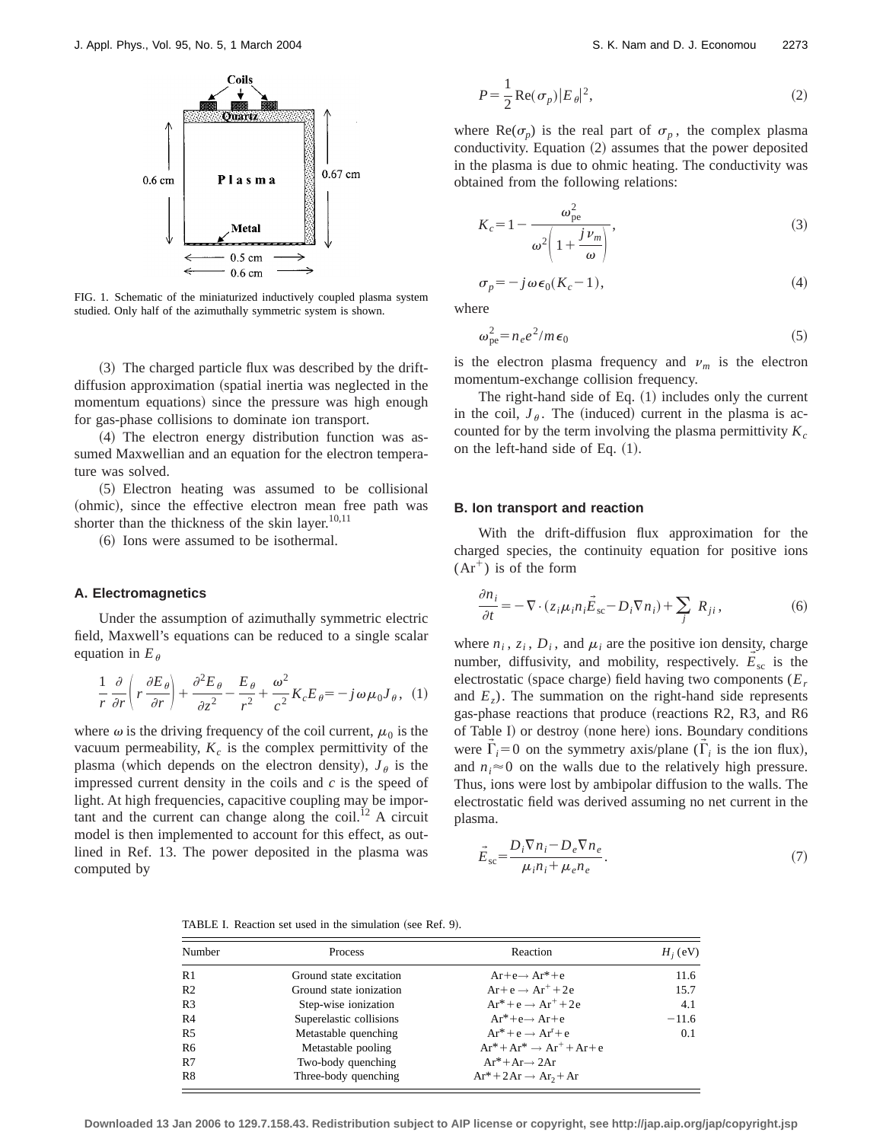

FIG. 1. Schematic of the miniaturized inductively coupled plasma system studied. Only half of the azimuthally symmetric system is shown.

 $(3)$  The charged particle flux was described by the driftdiffusion approximation (spatial inertia was neglected in the momentum equations) since the pressure was high enough for gas-phase collisions to dominate ion transport.

 $(4)$  The electron energy distribution function was assumed Maxwellian and an equation for the electron temperature was solved.

~5! Electron heating was assumed to be collisional (ohmic), since the effective electron mean free path was shorter than the thickness of the skin layer. $10,11$ 

~6! Ions were assumed to be isothermal.

# **A. Electromagnetics**

Under the assumption of azimuthally symmetric electric field, Maxwell's equations can be reduced to a single scalar equation in  $E_\theta$ 

$$
\frac{1}{r}\frac{\partial}{\partial r}\left(r\frac{\partial E_{\theta}}{\partial r}\right) + \frac{\partial^2 E_{\theta}}{\partial z^2} - \frac{E_{\theta}}{r^2} + \frac{\omega^2}{c^2}K_c E_{\theta} = -j\omega\mu_0 J_{\theta}, \quad (1)
$$

where  $\omega$  is the driving frequency of the coil current,  $\mu_0$  is the vacuum permeability,  $K_c$  is the complex permittivity of the plasma (which depends on the electron density),  $J_\theta$  is the impressed current density in the coils and *c* is the speed of light. At high frequencies, capacitive coupling may be important and the current can change along the coil.<sup>12</sup> A circuit model is then implemented to account for this effect, as outlined in Ref. 13. The power deposited in the plasma was computed by

$$
P = \frac{1}{2} \operatorname{Re}(\sigma_p) |E_{\theta}|^2,
$$
 (2)

where  $\text{Re}(\sigma_p)$  is the real part of  $\sigma_p$ , the complex plasma conductivity. Equation  $(2)$  assumes that the power deposited in the plasma is due to ohmic heating. The conductivity was obtained from the following relations:

$$
K_c = 1 - \frac{\omega_{\text{pe}}^2}{\omega^2 \left(1 + \frac{j \nu_m}{\omega}\right)},
$$
\n(3)

$$
\sigma_p = -j\,\omega\,\epsilon_0(K_c - 1),\tag{4}
$$

where

$$
\omega_{\rm pe}^2 = n_e e^2 / m \epsilon_0 \tag{5}
$$

is the electron plasma frequency and  $v_m$  is the electron momentum-exchange collision frequency.

The right-hand side of Eq.  $(1)$  includes only the current in the coil,  $J_\theta$ . The (induced) current in the plasma is accounted for by the term involving the plasma permittivity  $K_c$ on the left-hand side of Eq.  $(1)$ .

#### **B. Ion transport and reaction**

With the drift-diffusion flux approximation for the charged species, the continuity equation for positive ions  $Ar<sup>+</sup>$ ) is of the form

$$
\frac{\partial n_i}{\partial t} = -\nabla \cdot (z_i \mu_i n_i \vec{E}_{\rm sc} - D_i \nabla n_i) + \sum_j R_{ji},\tag{6}
$$

where  $n_i$ ,  $z_i$ ,  $D_i$ , and  $\mu_i$  are the positive ion density, charge number, diffusivity, and mobility, respectively.  $E_{\rm sc}$  is the  $\rightarrow$ electrostatic (space charge) field having two components  $(E_r)$ and  $E<sub>z</sub>$ ). The summation on the right-hand side represents gas-phase reactions that produce (reactions R2, R3, and R6 of Table I) or destroy (none here) ions. Boundary conditions were  $\vec{\Gamma}_i = 0$  on the symmetry axis/plane ( $\vec{\Gamma}_i$  is the ion flux), and  $n_i \approx 0$  on the walls due to the relatively high pressure. Thus, ions were lost by ambipolar diffusion to the walls. The electrostatic field was derived assuming no net current in the plasma.

$$
\vec{E}_{\rm sc} = \frac{D_i \nabla n_i - D_e \nabla n_e}{\mu_i n_i + \mu_e n_e}.
$$
\n(7)

TABLE I. Reaction set used in the simulation (see Ref. 9).

| Number         | Process                 | Reaction                                | $H_i$ (eV) |
|----------------|-------------------------|-----------------------------------------|------------|
| R <sub>1</sub> | Ground state excitation | $Ar+e \rightarrow Ar^*+e$               | 11.6       |
| R <sub>2</sub> | Ground state ionization | $Ar + e \rightarrow Ar^+ + 2e$          | 15.7       |
| R <sub>3</sub> | Step-wise ionization    | $Ar^* + e \rightarrow Ar^+ + 2e$        | 4.1        |
| R <sub>4</sub> | Superelastic collisions | $Ar^*+e \rightarrow Ar+e$               | $-11.6$    |
| R <sub>5</sub> | Metastable quenching    | $Ar^* + e \rightarrow Ar^r + e$         | 0.1        |
| R <sub>6</sub> | Metastable pooling      | $Ar^* + Ar^* \rightarrow Ar^+ + Ar + e$ |            |
| R7             | Two-body quenching      | $Ar^*+Ar \rightarrow 2Ar$               |            |
| R8             | Three-body quenching    | $Ar^* + 2Ar \rightarrow Ar_2 + Ar$      |            |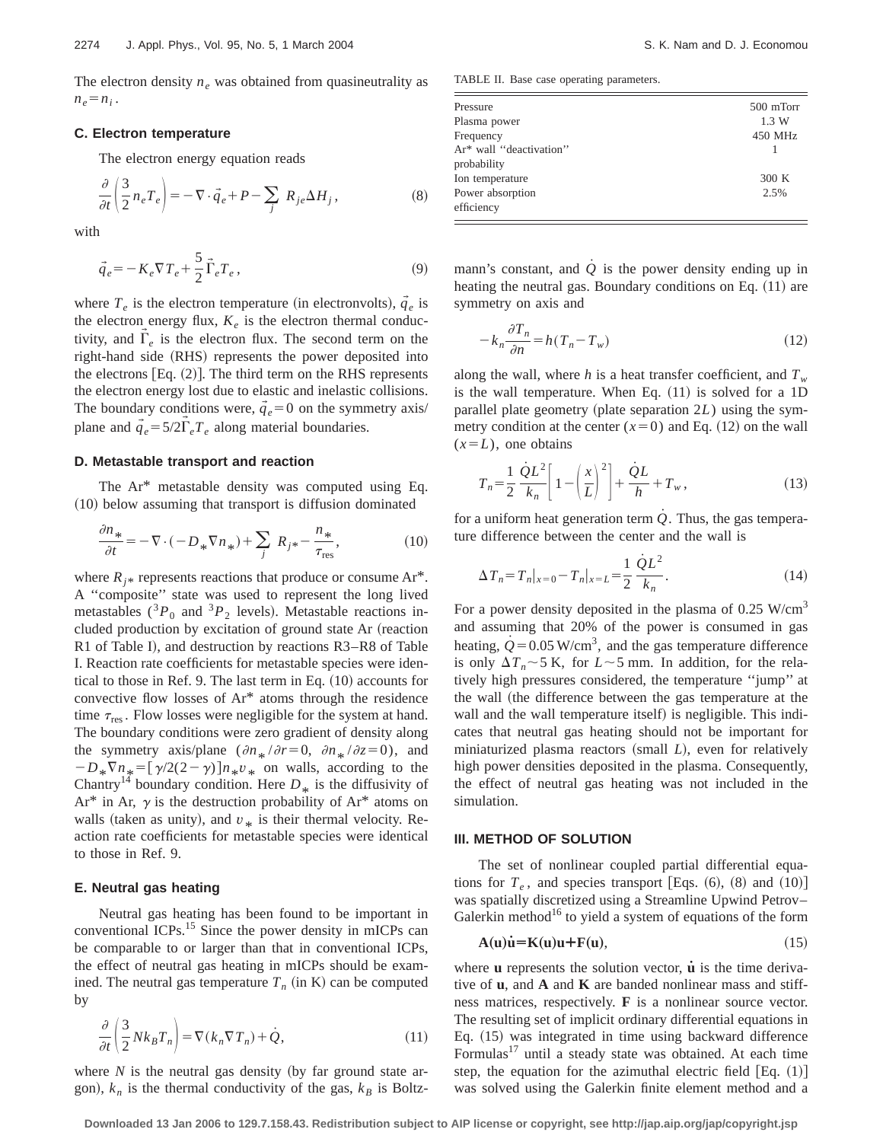The electron density  $n_e$  was obtained from quasineutrality as  $n_e = n_i$ .

# **C. Electron temperature**

The electron energy equation reads

$$
\frac{\partial}{\partial t} \left( \frac{3}{2} n_e T_e \right) = -\nabla \cdot \vec{q}_e + P - \sum_j R_{je} \Delta H_j, \qquad (8)
$$

with

$$
\vec{q}_e = -K_e \nabla T_e + \frac{5}{2} \vec{\Gamma}_e T_e, \qquad (9)
$$

where  $T_e$  is the electron temperature (in electronvolts),  $\vec{q}_e$  is the electron energy flux,  $K_e$  is the electron thermal conductivity, and  $\vec{\Gamma}_e$  is the electron flux. The second term on the right-hand side (RHS) represents the power deposited into the electrons  $[Eq. (2)]$ . The third term on the RHS represents the electron energy lost due to elastic and inelastic collisions. The boundary conditions were,  $\vec{q}_e = 0$  on the symmetry axis/ plane and  $\vec{q}_e = 5/2 \vec{\Gamma}_e T_e$  along material boundaries.

# **D. Metastable transport and reaction**

The Ar\* metastable density was computed using Eq. (10) below assuming that transport is diffusion dominated

$$
\frac{\partial n_*}{\partial t} = -\nabla \cdot (-D_* \nabla n_*) + \sum_j R_{j*} - \frac{n_*}{\tau_{\text{res}}},\tag{10}
$$

where  $R_{jk}$  represents reactions that produce or consume Ar<sup>\*</sup>. A ''composite'' state was used to represent the long lived metastables  $({}^3P_0$  and  ${}^3P_2$  levels). Metastable reactions included production by excitation of ground state Ar (reaction R1 of Table I), and destruction by reactions R3–R8 of Table I. Reaction rate coefficients for metastable species were identical to those in Ref. 9. The last term in Eq.  $(10)$  accounts for convective flow losses of Ar\* atoms through the residence time  $\tau_{res}$ . Flow losses were negligible for the system at hand. The boundary conditions were zero gradient of density along the symmetry axis/plane  $(\partial n_*/\partial r=0, \partial n_*/\partial z=0)$ , and  $-D_*\nabla n_* = [\gamma/2(2-\gamma)]n_*v_*$  on walls, according to the Chantry<sup>14</sup> boundary condition. Here  $D_{*}$  is the diffusivity of  $\Lambda_{*}^{*}$  is the  $\Lambda_{*}$ Ar<sup>\*</sup> in Ar,  $\gamma$  is the destruction probability of Ar<sup>\*</sup> atoms on walls (taken as unity), and  $v_*$  is their thermal velocity. Reaction rate coefficients for metastable species were identical to those in Ref. 9.

#### **E. Neutral gas heating**

Neutral gas heating has been found to be important in conventional ICPs.15 Since the power density in mICPs can be comparable to or larger than that in conventional ICPs, the effect of neutral gas heating in mICPs should be examined. The neutral gas temperature  $T_n$  (in K) can be computed by

$$
\frac{\partial}{\partial t} \left( \frac{3}{2} N k_B T_n \right) = \nabla (k_n \nabla T_n) + \dot{Q},\tag{11}
$$

where  $N$  is the neutral gas density (by far ground state argon),  $k_n$  is the thermal conductivity of the gas,  $k_B$  is Boltz-

TABLE II. Base case operating parameters.

| Pressure                | 500 mTorr |
|-------------------------|-----------|
| Plasma power            | 1.3 W     |
| Frequency               | 450 MHz   |
| Ar* wall "deactivation" |           |
| probability             |           |
| Ion temperature         | 300K      |
| Power absorption        | 2.5%      |
| efficiency              |           |
|                         |           |

mann's constant, and *Q* is the power density ending up in heating the neutral gas. Boundary conditions on Eq.  $(11)$  are symmetry on axis and

$$
-k_n \frac{\partial T_n}{\partial n} = h(T_n - T_w)
$$
\n(12)

along the wall, where *h* is a heat transfer coefficient, and  $T_w$ is the wall temperature. When Eq.  $(11)$  is solved for a 1D parallel plate geometry (plate separation  $2L$ ) using the symmetry condition at the center  $(x=0)$  and Eq.  $(12)$  on the wall  $(x=L)$ , one obtains

$$
T_n = \frac{1}{2} \frac{\dot{Q}L^2}{k_n} \left[ 1 - \left(\frac{x}{L}\right)^2 \right] + \frac{\dot{Q}L}{h} + T_w, \qquad (13)
$$

for a uniform heat generation term  $Q$ . Thus, the gas temperature difference between the center and the wall is

$$
\Delta T_n = T_n|_{x=0} - T_n|_{x=L} = \frac{1}{2} \frac{\dot{Q}L^2}{k_n}.
$$
\n(14)

For a power density deposited in the plasma of  $0.25$  W/cm<sup>3</sup> and assuming that 20% of the power is consumed in gas heating,  $\dot{Q}$  = 0.05 W/cm<sup>3</sup>, and the gas temperature difference is only  $\Delta T_n \sim 5$  K, for  $L \sim 5$  mm. In addition, for the relatively high pressures considered, the temperature ''jump'' at the wall (the difference between the gas temperature at the wall and the wall temperature itself) is negligible. This indicates that neutral gas heating should not be important for miniaturized plasma reactors (small *L*), even for relatively high power densities deposited in the plasma. Consequently, the effect of neutral gas heating was not included in the simulation.

#### **III. METHOD OF SOLUTION**

The set of nonlinear coupled partial differential equations for  $T_e$ , and species transport [Eqs.  $(6)$ ,  $(8)$  and  $(10)$ ] was spatially discretized using a Streamline Upwind Petrov– Galerkin method $^{16}$  to yield a system of equations of the form

$$
A(u)\dot{u} = K(u)u + F(u), \qquad (15)
$$

where **u** represents the solution vector, **u** is the time derivative of **u**, and **A** and **K** are banded nonlinear mass and stiffness matrices, respectively. **F** is a nonlinear source vector. The resulting set of implicit ordinary differential equations in Eq.  $(15)$  was integrated in time using backward difference Formulas $17$  until a steady state was obtained. At each time step, the equation for the azimuthal electric field  $[Eq. (1)]$ was solved using the Galerkin finite element method and a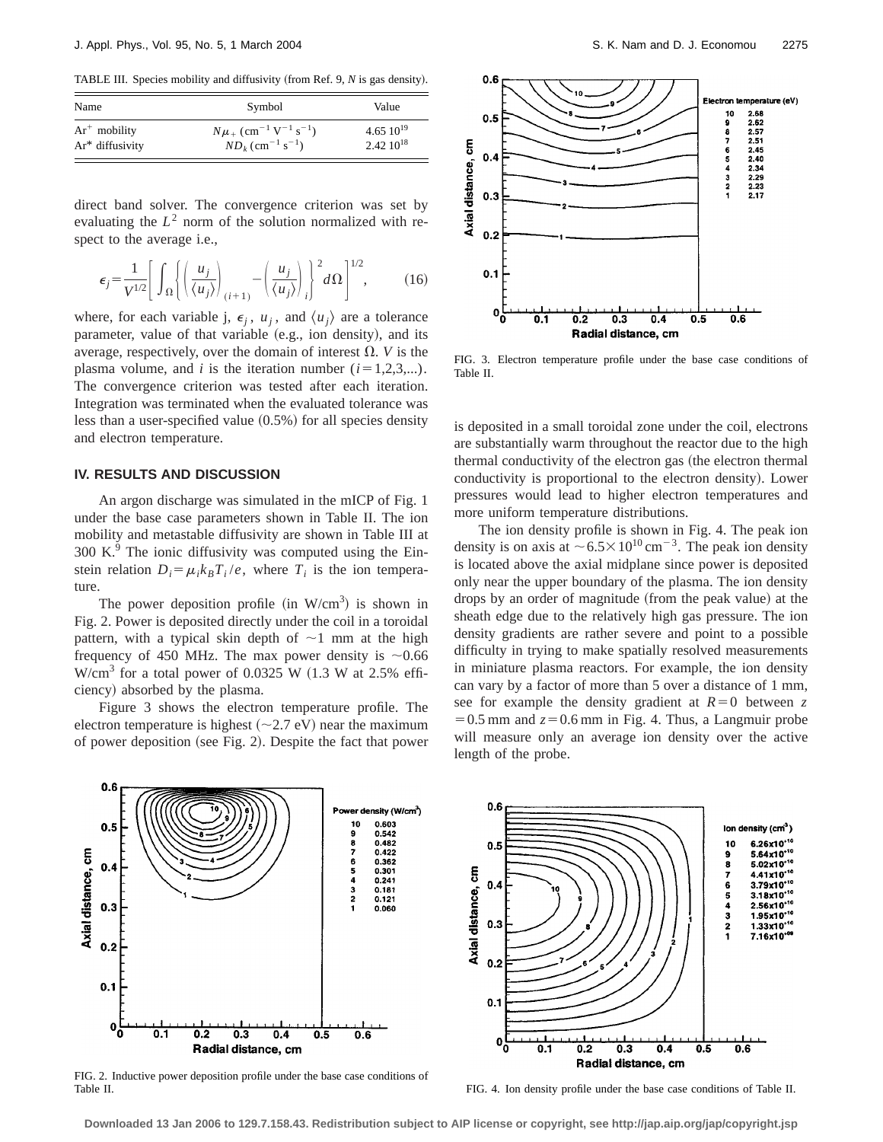TABLE III. Species mobility and diffusivity (from Ref. 9, *N* is gas density).

| Name            | Symbol                                                         | Value         |
|-----------------|----------------------------------------------------------------|---------------|
| $Ar^+$ mobility | $N\mu_{+}$ (cm <sup>-1</sup> V <sup>-1</sup> s <sup>-1</sup> ) | $4.6510^{19}$ |
| Ar* diffusivity | $ND_k$ (cm <sup>-1</sup> s <sup>-1</sup> )                     | $2.4210^{18}$ |

direct band solver. The convergence criterion was set by evaluating the  $L^2$  norm of the solution normalized with respect to the average i.e.,

$$
\epsilon_j = \frac{1}{V^{1/2}} \left[ \int_{\Omega} \left\{ \left( \frac{u_j}{\langle u_j \rangle} \right)_{(i+1)} - \left( \frac{u_j}{\langle u_j \rangle} \right)_i \right\}^2 d\Omega \right]^{1/2}, \quad (16)
$$

where, for each variable j,  $\epsilon_i$ ,  $u_i$ , and  $\langle u_i \rangle$  are a tolerance parameter, value of that variable (e.g., ion density), and its average, respectively, over the domain of interest  $\Omega$ . *V* is the plasma volume, and *i* is the iteration number  $(i=1,2,3,...)$ . The convergence criterion was tested after each iteration. Integration was terminated when the evaluated tolerance was less than a user-specified value  $(0.5%)$  for all species density and electron temperature.

# **IV. RESULTS AND DISCUSSION**

An argon discharge was simulated in the mICP of Fig. 1 under the base case parameters shown in Table II. The ion mobility and metastable diffusivity are shown in Table III at  $300 \text{ K}$ . The ionic diffusivity was computed using the Einstein relation  $D_i = \mu_i k_B T_i / e$ , where  $T_i$  is the ion temperature.

The power deposition profile (in  $W/cm<sup>3</sup>$ ) is shown in Fig. 2. Power is deposited directly under the coil in a toroidal pattern, with a typical skin depth of  $\sim$ 1 mm at the high frequency of 450 MHz. The max power density is  $\sim 0.66$ W/cm<sup>3</sup> for a total power of 0.0325 W  $(1.3$  W at 2.5% efficiency) absorbed by the plasma.

Figure 3 shows the electron temperature profile. The electron temperature is highest  $(\sim 2.7 \text{ eV})$  near the maximum of power deposition (see Fig. 2). Despite the fact that power



FIG. 3. Electron temperature profile under the base case conditions of Table II.

is deposited in a small toroidal zone under the coil, electrons are substantially warm throughout the reactor due to the high thermal conductivity of the electron gas (the electron thermal conductivity is proportional to the electron density). Lower pressures would lead to higher electron temperatures and more uniform temperature distributions.

The ion density profile is shown in Fig. 4. The peak ion density is on axis at  $\sim$  6.5 $\times$ 10<sup>10</sup> cm<sup>-3</sup>. The peak ion density is located above the axial midplane since power is deposited only near the upper boundary of the plasma. The ion density drops by an order of magnitude (from the peak value) at the sheath edge due to the relatively high gas pressure. The ion density gradients are rather severe and point to a possible difficulty in trying to make spatially resolved measurements in miniature plasma reactors. For example, the ion density can vary by a factor of more than 5 over a distance of 1 mm, see for example the density gradient at  $R=0$  between z  $=0.5$  mm and  $z=0.6$  mm in Fig. 4. Thus, a Langmuir probe will measure only an average ion density over the active length of the probe.



FIG. 2. Inductive power deposition profile under the base case conditions of Table II.

FIG. 4. Ion density profile under the base case conditions of Table II.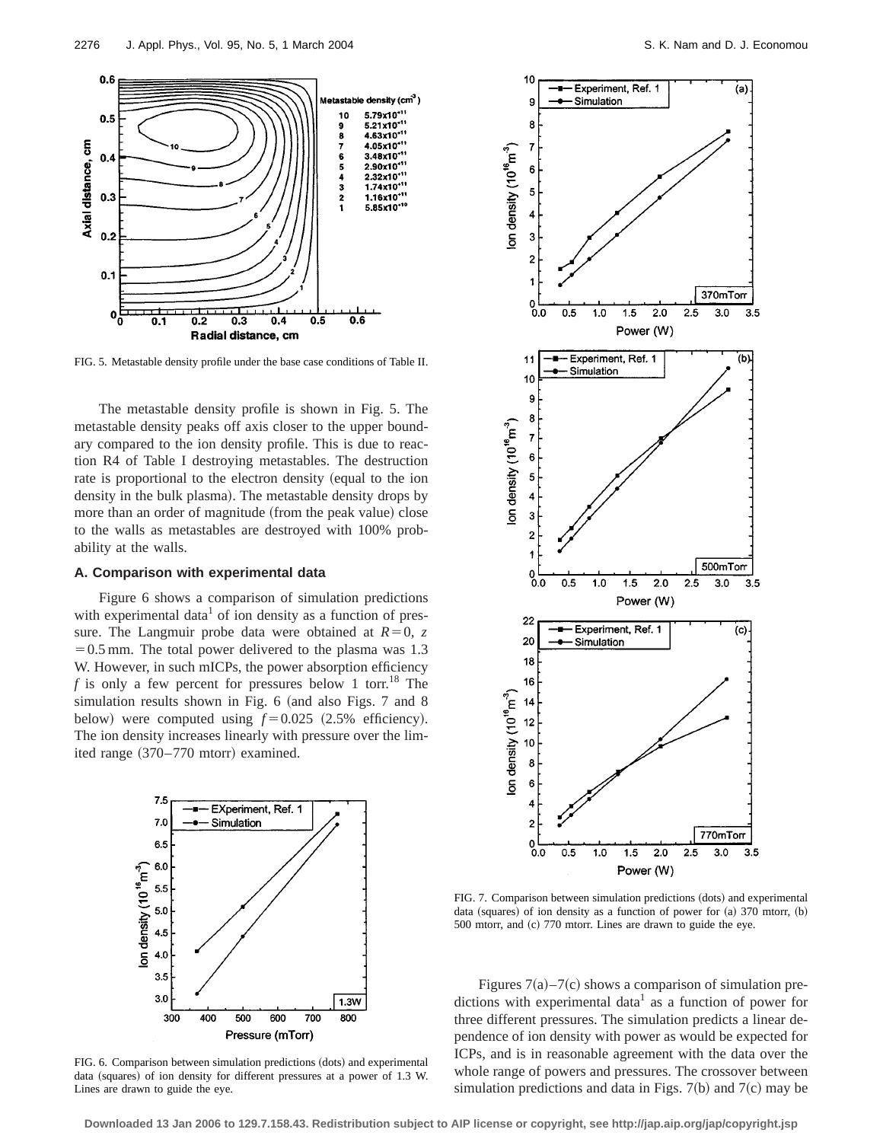

FIG. 5. Metastable density profile under the base case conditions of Table II.

The metastable density profile is shown in Fig. 5. The metastable density peaks off axis closer to the upper boundary compared to the ion density profile. This is due to reaction R4 of Table I destroying metastables. The destruction rate is proportional to the electron density (equal to the ion density in the bulk plasma). The metastable density drops by more than an order of magnitude (from the peak value) close to the walls as metastables are destroyed with 100% probability at the walls.

# **A. Comparison with experimental data**

Figure 6 shows a comparison of simulation predictions with experimental data<sup>1</sup> of ion density as a function of pressure. The Langmuir probe data were obtained at  $R=0$ , *z*  $=0.5$  mm. The total power delivered to the plasma was 1.3 W. However, in such mICPs, the power absorption efficiency *f* is only a few percent for pressures below 1 torr.<sup>18</sup> The simulation results shown in Fig. 6 (and also Figs. 7 and 8 below) were computed using  $f = 0.025$  (2.5% efficiency). The ion density increases linearly with pressure over the limited range  $(370-770$  mtorr) examined.



FIG. 6. Comparison between simulation predictions (dots) and experimental data (squares) of ion density for different pressures at a power of 1.3 W. Lines are drawn to guide the eye.



FIG. 7. Comparison between simulation predictions (dots) and experimental data (squares) of ion density as a function of power for  $(a)$  370 mtorr,  $(b)$  $500$  mtorr, and  $(c)$  770 mtorr. Lines are drawn to guide the eye.

Figures  $7(a) - 7(c)$  shows a comparison of simulation predictions with experimental data<sup>1</sup> as a function of power for three different pressures. The simulation predicts a linear dependence of ion density with power as would be expected for ICPs, and is in reasonable agreement with the data over the whole range of powers and pressures. The crossover between simulation predictions and data in Figs.  $7(b)$  and  $7(c)$  may be